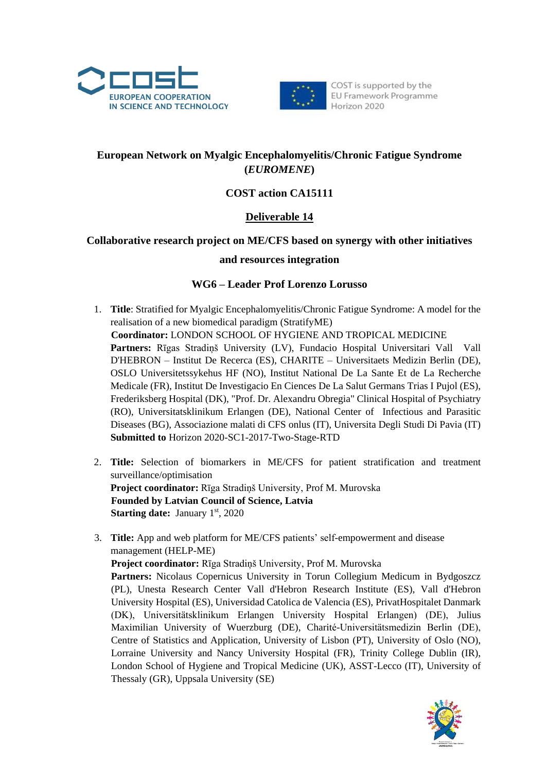



COST is supported by the EU Framework Programme Horizon 2020

# **European Network on Myalgic Encephalomyelitis/Chronic Fatigue Syndrome (***EUROMENE***)**

# **COST action CA15111**

# **Deliverable 14**

## **Collaborative research project on ME/CFS based on synergy with other initiatives**

### **and resources integration**

## **WG6 – Leader Prof Lorenzo Lorusso**

- 1. **Title**: Stratified for Myalgic Encephalomyelitis/Chronic Fatigue Syndrome: A model for the realisation of a new biomedical paradigm (StratifyME) **Coordinator:** LONDON SCHOOL OF HYGIENE AND TROPICAL MEDICINE **Partners:** Rīgas Stradiņš University (LV), Fundacio Hospital Universitari Vall Vall D'HEBRON – Institut De Recerca (ES), CHARITE – Universitaets Medizin Berlin (DE), OSLO Universitetssykehus HF (NO), Institut National De La Sante Et de La Recherche Medicale (FR), Institut De Investigacio En Ciences De La Salut Germans Trias I Pujol (ES), Frederiksberg Hospital (DK), "Prof. Dr. Alexandru Obregia" Clinical Hospital of Psychiatry (RO), Universitatsklinikum Erlangen (DE), National Center of Infectious and Parasitic Diseases (BG), Associazione malati di CFS onlus (IT), Universita Degli Studi Di Pavia (IT) **Submitted to** Horizon 2020-SC1-2017-Two-Stage-RTD
- 2. **Title:** Selection of biomarkers in ME/CFS for patient stratification and treatment surveillance/optimisation **Project coordinator:** Rīga Stradiņš University, Prof M. Murovska **Founded by Latvian Council of Science, Latvia Starting date:** January 1<sup>st</sup>, 2020
- 3. **Title:** App and web platform for ME/CFS patients' self-empowerment and disease management (HELP-ME)

**Project coordinator:** Rīga Stradiņš University, Prof M. Murovska Partners: Nicolaus Copernicus University in Torun Collegium Medicum in Bydgoszcz (PL), Unesta Research Center Vall d'Hebron Research Institute (ES), Vall d'Hebron University Hospital (ES), Universidad Catolica de Valencia (ES), PrivatHospitalet Danmark (DK), Universitätsklinikum Erlangen University Hospital Erlangen) (DE), Julius Maximilian University of Wuerzburg (DE), Charité-Universitätsmedizin Berlin (DE), Centre of Statistics and Application, University of Lisbon (PT), University of Oslo (NO), Lorraine University and Nancy University Hospital (FR), Trinity College Dublin (IR), London School of Hygiene and Tropical Medicine (UK), ASST-Lecco (IT), University of Thessaly (GR), Uppsala University (SE)